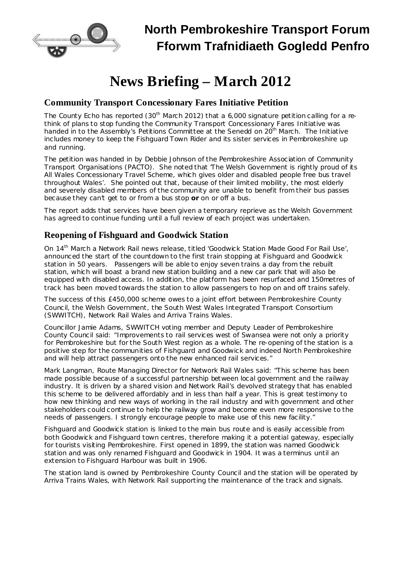

# **News Briefing – March 2012**

### **Community Transport Concessionary Fares Initiative Petition**

The County Echo has reported (30<sup>th</sup> March 2012) that a 6,000 signature petition calling for a rethink of plans to stop funding the Community Transport Concessionary Fares Initiative was handed in to the Assembly's Petitions Committee at the Senedd on 20<sup>th</sup> March. The Initiative includes money to keep the Fishguard Town Rider and its sister services in Pembrokeshire up and running.

The petition was handed in by Debbie Johnson of the Pembrokeshire Association of Community Transport Organisations (PACTO). She noted that 'The Welsh Government is rightly proud of its All Wales Concessionary Travel Scheme, which gives older and disabled people free bus travel throughout Wales'. She pointed out that, because of their limited mobility, the most elderly and severely disabled members of the community are unable to benefit from their bus passes because they can't get to or from a bus stop **or** on or off a bus.

The report adds that services have been given a temporary reprieve as the Welsh Government has agreed to continue funding until a full review of each project was undertaken.

#### **Reopening of Fishguard and Goodwick Station**

On 14<sup>th</sup> March a Network Rail news release, titled 'Goodwick Station Made Good For Rail Use', announced the start of the countdown to the first train stopping at Fishguard and Goodwick station in 50 years. Passengers will be able to enjoy seven trains a day from the rebuilt station, which will boast a brand new station building and a new car park that will also be equipped with disabled access. In addition, the platform has been resurfaced and 150metres of track has been moved towards the station to allow passengers to hop on and off trains safely.

The success of this £450,000 scheme owes to a joint effort between Pembrokeshire County Council, the Welsh Government, the South West Wales Integrated Transport Consortium (SWWITCH), Network Rail Wales and Arriva Trains Wales.

Councillor Jamie Adams, SWWITCH voting member and Deputy Leader of Pembrokeshire County Council said: "Improvements to rail services west of Swansea were not only a priority for Pembrokeshire but for the South West region as a whole. The re-opening of the station is a positive step for the communities of Fishguard and Goodwick and indeed North Pembrokeshire and will help attract passengers onto the new enhanced rail services."

Mark Langman, Route Managing Director for Network Rail Wales said: "This scheme has been made possible because of a successful partnership between local government and the railway industry. It is driven by a shared vision and Network Rail's devolved strategy that has enabled this scheme to be delivered affordably and in less than half a year. This is great testimony to how new thinking and new ways of working in the rail industry and with government and other stakeholders could continue to help the railway grow and become even more responsive to the needs of passengers. I strongly encourage people to make use of this new facility."

Fishguard and Goodwick station is linked to the main bus route and is easily accessible from both Goodwick and Fishguard town centres, therefore making it a potential gateway, especially for tourists visiting Pembrokeshire. First opened in 1899, the station was named Goodwick station and was only renamed Fishguard and Goodwick in 1904. It was a terminus until an extension to Fishguard Harbour was built in 1906.

The station land is owned by Pembrokeshire County Council and the station will be operated by Arriva Trains Wales, with Network Rail supporting the maintenance of the track and signals.